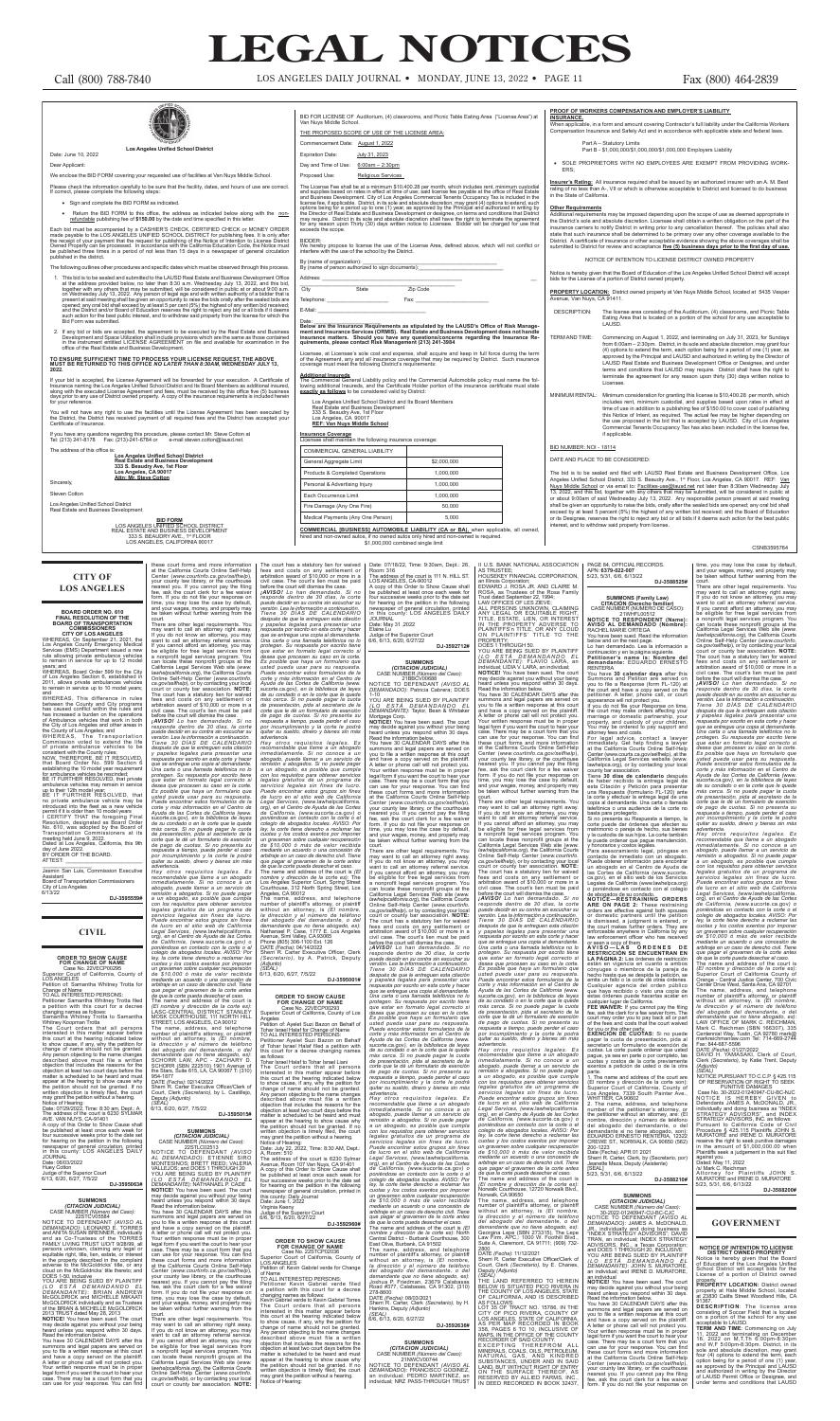years; and WHEREAS, Board Order 599 for the City of Los Angeles Section 6, established in 2011, allows private ambulances vehicles hain in service up to 10 model years;

**CITY OF LOS ANGELES** WHEREAS, On September 21, 2021, the Los Angeles County Emergency Medical Services (EMS) Department issued a new rule allowing private ambulance vehicles to remain in service for up to 12 model

mission voted to extend the life of private ambulance vehicles to be consistent with the County rules; NOW, THEREFORE, BE IT RESOLVED,

and WHEREAS, This difference in rules between the County and City programs has caused conflict within the rules and has increased a burden on the operations of Ambulance vehicles that work in both the City of Los Angeles and other areas in the County of Los Angeles; and WHEREAS, The Transportation

that Board Order No. 599 Section 6 establishing the 10 model year requirement for ambulance vehicles be rescinded; BE IT FURTHER RESOLVED, that private

ambulance vehicles may remain in service up to their 12th model year; BE IT FURTHER RESOLVED, that no private ambulance vehicle may be

be taken without further warning from the calcult.<br>
There are other legal requirements. You may want to call an attomey right away.<br>
If you do not know an attomey referral service.<br>
If you do not know an attomey ferral ser

protegen. Su respuesta por escrito tiene<br>que estar en formato legal correcto si<br>desea que procesen su caso en la corte.<br>Es posible que haya un formulario que<br>usted pueda usar para su respuesta.<br>Puede encontrar estos formul corte y más información en el Centro de<br>Ayuda de las Cortes de California (www.<br>sucorte.ca.gov), en la biblioteca de leyes<br>de su condado o en la corte que le quede<br>más cerca. Si no puede pagar la cuota<br>de presentación, pid advertencia.<br>Hay otros requisitos legales. Es Hay otros requisitos legales. Es<br>recomendable que llame a un abogado.<br>Inmediatamente. Si no conoce a un abogado<br>abogado, puede llame a un servicio de consideram diferentiado a atogados. Si no puede pagar<br>a un abogado, es p arbitraje en un caso de derecho civil. Tiene<br>que pagar el gravamen de la corte antes<br>de que la corte pueda desechar el caso.<br>The name and address of the court is<br>(El nombre y dirección de la corte es):<br>LASC-CENTRAL DISTRIC The name, address, and telephone<br>number of plaintiff's attorney, or plaintiff's without an attorney, is  $(EI nonbore, Ial]$  without an attorney, is  $(EI nonbore, Ial]$  defining defining the orien abogado, estimation of the SCHORR LAW, AP

\_\_\_\_\_\_\_\_\_\_\_\_\_\_\_\_\_ Jasmin San Luis, Commission Executive Assistant Board of Transportation Commissioners City of Los Angeles 6/13/22

**DJ-3595559#**

## **CIVIL**

**CREACT SHOW CAUSE**<br>
CREAT TO SHOW CAUSE<br>
Case No. 22VECP00295<br>
Superior Court of California, County of<br>
LOS ANGELES<br>
Polition of: Samantha Whitney Trotta for<br>
Polition of: Samantha Whitney Trotta field<br>
Change of Name<br>
Ch

*(LO ESTA DEMANDANDO EL<br><i>DEMANDANTE)*: BRIAN ANDREW<br>McGOLDRICK and MICHELLE MIKAATI McGOLDRICK individually and as Trustees of the BRIAN & MICHELLE McGOLDRICK

2013 TRUST dated May 28, 2013<br>**NOTICE!** You have been sued. The court<br>may decide against you without your being<br>heard unless you respond within 30 days.<br>Read the information below.<br>You have 30 CALENDAR DAYS after this

JOURNAL Date: 06/03/2022 Huey Cotton Judge of the Superior Court 6/13, 6/20, 6/27, 7/5/22

**DJ-3595063#**

**SUMMONS<br>** *(CITACION JUDICIAL)<br>
CASE NUMBER <i>(Número del Caso):***<br>
22STCV05584<br>
NOTICE TO DEFENDANT** *(AVISO AL* 

*DEMANDADO)*: LEONARD E. TORRES<br>and ANITA SUSAN BRENNER, individually<br>and as Co-Trustees of the TORRES<br>FAMILY LIVING TRUST U/D/T 9/28/99, all persons unknown, claiming any legal or equitable right, title, lien, estate, or interest in the property described in the complaint<br>adverse to the McGoldricks' title, or any<br>cloud on the McGoldricks' title thereto; and<br>DOES 1-50, inclusive<br>YOU ARE BEING SUED BY PLAINTIFF

summons and legal papers are served on you to file a written response at this court and have a copy served on the plaintiff. A letter or phone call will not protect you. Your written response must be in proper legal form if you want the court to hear your case. There may be a court form that you can use for your response. You can find

**SUMMONS<br>***(CITACION JUDICIAL)<br>CASE NUMBER <i>(Número del Caso):***<br>22STLC02513 NOTICE TO DEFENDANT** *(AVISO* 

*AL DEMANDADO)*: ETIENNE SIRO<br>MONTESINOS; BRETT REED; VALERIA<br>VALLEJOS; and DOES 1 THROUGH 20<br>YOU ARE BEING SUED BY PLAINTIFF<br>*(LO ESTÁ - DEMANDE)*: NATHANAEL P. CADE<br>*DEMANDANTE)*: NATHANAEL P. CADE **NOTICE!** You have been sued. The court may decide against you without your being heard unless you respond within 30 days.<br>Read the information below.<br>Read the information below.<br>You have 30 CALENDAR DAYS after this

may want to call an attorney right away. If you do not know an attorney, you may want to call an attorney referral service. If you cannot afford an attorney, you may eligible for free legal services from a nonprofit legal services program. You can locate these nonprofit groups at the California Legal Services Web site (*www. lawhelpcalifornia.org*), the California Courts Online Self-Help Center (*www.courtinfo. ca.gov/selfhelp*), or by contacting your local ca.gov/selfhelp), or by contacting your local court or county bar association. **NOTE:** 

Petitioner Ayelet Suzi Bazon on Behalf of Tohar Israel Halaf filed a petition with this court for a decree changing names as follows:<br>as follows:<br>Tohar Israel Halaf to Tohar Israel Liani

Tohar Israel Halaf to Tohar Israel Liani<br>The Court orders that all persons<br>interested in this matter appear before<br>this court at the hearing indicated below<br>to show cause, if any, why the petition for<br>change of name should objection at least two court days before the matter is scheduled to be heard and must<br>appear at the hearing to show cause why<br>the petition should not be granted. If no<br>written objection is timely filed, the court<br>may grant the petition without a hearing.<br>Notice of He

your county law library, or the courtl nearest you. If you cannot pay the filing fee, ask the court clerk for a fee waiver form. If you do not file your response on time, you may lose the case by default, and your wages, money, and property may be taken without further warning from the

summons and legal papers are served on you to file a written response at this court and have a copy served on the plaintiff. A letter or phone call will not protect you. Your written response must be in proper legal form if you want the court to hear your case. There may be a court form that you can use for your response. You can find these court forms and more information at the California Courts Online Self-Help Center (*www.courtinfo.ca.gov/selfhelp*), your county law library, or the courthouse

nearest you. If you cannot pay the filing fee, ask the court clerk for a fee waiver form. If you do not file your response on time, you may lose the case by default and your wages, money, and property may be taken without further warning from the There are other legal requirements. You

*Hay otros requisitos legales. Es recomendable que llame a un abogado inmediatamente. Si no conoce a un abogado, puede llamar a un servicio de*  remisión a abogados. Si no puede paga *a un abogado, es posible que cumpla con los requisitos para obtener servicios legales gratuitos de un programa de servicios legales sin fines de lucro. Puede encontrar estos grupos sin fines de lucro en el sitio web de California Legal Services, (*www.lawhelpcalifornia. org*), en el Centro de Ayuda de las Cortes de California, (*www.sucorte.ca.gov*) o poniéndose en contacto con la corte o el colegio de abogados locales. AVISO: Por ley, la corte tiene derecho a reclamar las*   $c$ uotas y los costos exentos por impone. *un gravamen sobre cualquier recuperación de \$10,000 ó más de valor recibida mediante un acuerdo o una concesión de arbitraje en un caso de derecho civil. Tiene que pagar el gravamen de la corte antes de que la corte pueda desechar el caso.* The name and address of the court is *(El nombre y dirección de la corte es):* North<br>Central District - Burbank Courthouse, 300<br>East Olive, Burbank, CA 91502 The name, address, and telephone number of plaintiff's attorney, or plaintiff without an attorney, is *(El nombre, la dirección y el número de teléfono del abogado del demandante, o del demandante que no tiene abogado, es):*<br>Joshua P. Friedman, 23679 Calabasas<br>Road #377, Calabasas, CA 91302, (310)

court.

*advertencia. Hay otros requisitos legales. Es* 

The court has a statutory lien for waived fees and costs on any settlement or derivation award of \$10,000 or more in a before the court will dismiss the case.<br>before the court will dismiss the case paid before the court wi

There are other legal requirements. You may want to call an attomey right away, if you do not know an attomey referral service.<br>If you do not know an attomey referral service.<br>If you cannot afford an attomey, you may want corte y más información en el Centro de<br>Ayuda de las Cortes de California (www.<br>sucorte.ca.gov), en la biblioteca de leyes<br>de su condado o en la corte que le quede<br>más cerca. Si no puede pagar la cuota<br>de presentación, pid *respuesta a tiempo, puede perder el caso por incumplimiento y la corte le podrá quitar su sueldo, dinero y bienes sin más* 

*advertencia.* Hay otros requisitos legales. Es permenentable que llame a un abogado<br>recomendable que llame a un abogado<br>inmediatamente. Si no conoce a un<br>abogado, puede llame a un servicio de<br>remisión a abogado, se posible que cumpla<br>e

arbitraje en un caso de derecho civil. Tiene<br>que pagar el gravamen de la corde antes de que la corde pueda desechar el caso.<br>The name and adderss of the court is<br>(El nombre y dirección de la corde es):<br>Norwalk Coutriouse,

BELOW IS SITUATED PICO RIVERA IN<br>THE COUNTY OF LOS ANGELES, STATE<br>OF CALIFORNIA, AND IS DESCRIBED<br>AS FOLLOWS: TRACT NO. 15786, IN THE<br>COT 35 OF TRACT NO. 15786, IN THE<br>COT 35 OF TRACT NO. 15786, IN THE<br>LOS ANGELES, STATE O

**DJ-3595001#**

## **ORDER TO SHOW CAUSE FOR CHANGE OF NAME** Case No. 22VECP00293 Superior Court of California, County of Los

Angeles Petition of: Ayelet Suzi Bazon on Behalf of Tohar Israel Halaf for Change of Name TO ALL INTERESTED PERSONS:

The address of the court is 6230 Sylmar Avenue, Room 107 Van Nuys, CA 91401 A copy of this Order to Show Cause shall be published at least once each week for four successive weeks prior to the date set for hearing on the petition in the following newspaper of general circulation, printed in this county: Daily Journal Date: June 1, 2022

Virginia Keeny Judge of the Superior Court 6/6, 6/13, 6/20, 6/27/22

**DJ-3592960#**

**ORDER TO SHOW CAUSE FOR CHANGE OF NAME**  Case No. 22STCP02036 Superior Court of California, County of

LOS ANGELES Petition of: Kevin Gabriel verde for Change of Name TO ALL INTERESTED PERSONS:

Petitioner Kevin Gabriel verde filed a petition with this court for a decree

changing names as follows: Kevin Gabriel verde to Kevin Gabriel Torres The Court orders that all persons interested in this matter appear before this court at the hearing indicated below

(El nombre y dirección de la corte son):<br>Superior Court of California, County of<br>Los Angeles, 7339 South Painter Ave.,<br>WHITTIER, CA 90602<br>2. The name, address, and telephone<br>number of the petitioner's attorney, or<br>the peti demandante si no tiene abogado, son): EDUARDO ERNESTO RENTERIA, 12322 CREWE ST., NORWALK, CA 90650 (562) 200-1223

∠∪∪-⊥∠∠ა<br>Date (Fecha): APR 01 2021 Sherri R. Carter, Clerk, by (Secretario, por) Jeanette Meza, Deputy (Asistente) [SEAL] 5/23, 5/31, 6/6, 6/13/22

to show cause, if any, why the petition for change of name should not be granted. Any person objecting to the name changes described above must file a written objection that includes the reasons for the objection at least two court days before the matter is scheduled to be heard and must appear at the hearing to show cause why the petition should not be granted. If no written objection is timely filed, the court may grant the petition without a hearing. Notice of Hearing:

**SUMMONS<br>** *(CITACION JUDICIAL)*<br>
CASE NUMBER *(Número del Caso):*<br>
30-2022-01240947-CU-BC-CJC<br>
NOTICE TO DEFENDANT *(AVISO AL<br>
<i>DEMANDADO)*: JAMES A. McDONALD, JR., individually and doing business as "INDEX STRATEGY ADVISORS"; DAVID<br>TRAN, an individual; INDEX STRATEGY<br>ADVISORS, INC., a Texas Corporation;<br>YOU ARE BEING SUED BY PLAINTIFF<br>YOU ARE BEING SUED BY PLAINTIFF<br>*(LO ESTA DEMANDANDO EL DEMANDANTE)*: JOHN S. MURATORE, an individual; and IRENE D. MURATORE,

summons and legal papers are served on you to file a written response at this court and have a copy served on the plaintiff.<br>A letter or phone call will not protect you.<br>Your written response must be in proper<br>legal form if you want the court to hear your case. There may be a court form that you can use for your response. You can find these court forms and more information at the California Courts Online Self-Help Center (*www.courtinfo.ca.gov/selfhelp*), your county law library, or the courthouse nearest you. If you cannot pay the filing fiee, ask the court clerk for a fee waiver form. If you do not file your response on

**DJ-3592712#**

you to file a written response at this court<br>and have a copy served on the plaintiff.<br>A letter or phone call will not protect you.<br>Your written response must be in proper<br>legal form if you want the court to hear your<br>case.

**SUMMONS**

*(CITACION JUDICIAL)* CASE NUMBER *(Número del Caso):*  21BBCV00688 NOTICE TO DEFENDANT *(AVISO AL DEMANDADO)*: Patricia Cabrera; DOES 1-10<br>YOU ARE BEING SUED BY PLAINTIFF<br>*(LO ESTÁ DEMANDANDO EL<br><i>DEMANDANTE)*: Taylor, Bean & Whitaker Mortgage Corp. **NOTICE!** You have been sued. The court may decide against you without your being heard unless you respond within 30 days. Read the information below. You have 30 CALENDAR DAYS after this

recomendable que llame a un abogado<br>inmediatamente. Si no conoce a un<br>abogado, puede llamar a un servicio de<br>a un abogado, si no puede pagar<br>a un abogado, es posible que cumpla<br>a un abogado, es posible que cumpla<br>elegales org), en el Centro de Ayuda de las Cortes<br>de California, (www.sucorte.ca.gov) o<br>poniéndose en contacto con la corte o el<br>colegio de abogados locales. AVISO: Por<br>ley, la corte tiene derecho a reclamar las<br>cuotas y los costo de \$10,000 ó más de valor recibida<br>mediante un accurso de valor recibida<br>antitraje en un caso de derecho civil. Tiene<br>que pagar el gravamen de la corte antes<br>de que la corte pueda desechar el caso.<br>The name and address of *(SEAL)* 6/13, 6/20, 6/27, 7/5/22 summons and legal papers are served on you to file a written response at this court and have a copy served on the plaintiff. A letter or phone call will not protect you. Your written response must be in proper legal form if you want the court to hear your<br>case. There may be a court form that you<br>can use for your response. You can find<br>these court forms and more information<br>at the California Courts Online Self-Help),<br>Center (www.

*advertencia. Hay otros requisitos legales. Es*  recomendable que llame a un abogado de llame a un abogado, puede llamer a un servicio de entraisión a abogado, es posible que cumpla de a un abogado, es posible que cumpla e a un abogado, es posible que cumpla legales grat

against you.<br>Dated: May 11, 2022<br>/s/ Mark C. Reichman<br>Attorney for Plaintiffs JOHN S.<br>MURATORE and IRENE D. MURATORE<br>5/23, 5/31, 6/6, 6/13/22

court. There are other legal requirements. You may want to call an attorney right away. If you do not know an attorney, you may want to call an attorney referral service. If you cannot afford an attorney, you may be eligible for free legal services from a nonprofit legal services program. You can locate these nonprofit groups at the<br>California Legal Services Web site (www.<br>lawhelpcalifornia.org), the California Courts<br>Online Self-Help Center (www.courtinfo.<br>ca.gov/selffielp), or by contacting your local<br>court o fees and costs on any settlement or arbitration award of \$10,000 or more in a civil case. The court's lien must be paid before the court will dismiss the case. *¡AVISO! Lo han demandado. Si no* 

### **NOTICE OF INTENTION TO LICENSE DISTRICT OWNED PROPERT**

11, 2022 and terminating on December 16, 2022 on M,T,Th 6:00pm-8:30pm and W,F 5:00pm-8:30pm. District, in its sole and absolute discretion, may grant four (4) options to extend the term, each option being for a period of one (1) year, as approved by the Principal and LAUSD and authorized in writing by the Director of LAUSD Permit Office or Designee, and of LAUSD Permit Office or Designee, and<br>under terms and conditions that LAUSD

*responde dentro de 30 días, la corte puede decidir en su contra sin escuchar su versión. Lea la información a continuación. Tiene 30 DÍAS DE CALENDARIO después de que le entreguen esta citación y papeles legales para presentar una respuesta por escrito en esta corte y hacer que se entregue una copia al demandante. Una carta o una llamada telefónica no lo protegen. Su respuesta por escrito tiene que estar en formato legal correcto si desea que procesen su caso en la corte. Es posible que haya un formulario que*  usted pueda usar para su respuesta.<br>Puede encontrar estos formularios de la<br>corte y más información en el Centro de<br>Ayuda de las Cortes de California (www.<br>sucorte.ca.gov), en la biblioteca de leyes *de su condado o en la corte que le quede más cerca. Si no puede pagar la cuota de presentación, pida al secretario de la corte que le dé un formulario de exención de pago de cuotas. Si no presenta su respuesta a tiempo, puede perder el caso por incumplimiento y la corte le podrá quitar su sueldo, dinero y bienes sin más advertencia.*

278-8600 DATE *(Fecha)*: 08/03/2021 Sherri R. Carter, Clerk *(Secretario)*, by H. Hankins, Deputy *(Adjunto) (SEAL)* 6/6, 6/13, 6/20, 6/27/22

**DJ-3592636#**

**SUMMONS<br>** *(CITACION JUDICIAL)***<br>
CASE NUMBER** *(Número del Caso):***<br>
21NWCV00744<br>
<b>NOTICE TO DEFENDANT** *(AVISO AL DEMANDADO)*: FRANCISCO GODINEZ,<br>an individual; PEDRO MARTINEZ, an<br>individual; NRZ PASS-THROUGH TRUST



below and on the next page. Lo han demandado. Lea la información a

continuación y en la página siguiente. **Petitioner's name is: Nombre del demandante:** EDUARDO ERNESTO RENTERIA You have **30 calendar days** after this Summons and Petition are served on you to file a Response (form FL-120) at the court and have a copy served on the petitioner. A letter, phone call, or court

appearance will not protect you. If you do not file your Response on time, the court may make orders affecting your marriage or domestic partnership, your property, and custody of your children. You may be ordered to pay support and

attorney fees and costs. For legal advice, contact a lawyer immediately. Get help finding a lawyer at the California Courts Online Self-Help Center (www.courts.ca.gov/selfhelp), at the California Legal Services website (www. lawhelpca.org), or by contacting your local

county bar association. Tiene **30 días de calendario** después de haber recibido la entrega legal de esta Citación y Petición para presentar una Respuesta (formulario FL-120) ante la corte y efectuar la entrega legal de una copia al demandante. Una carta o llamada telefónica o una audiencia de la corte no basta para protegerlo. Si no presenta su Respuesta a tiempo, la corte puede dar órdenes que afecten su matrimonio o pareja de hecho, sus bienes y la custodia de sus hijos. La corte también e puede ordenar que pague manutención y honorarios y costos legales. Para asesoramiento legal, póngase en contacto de inmediato con un abogado. Puede obtener información para encontrar un abogado en el Centro de Ayuda de las Cortes de California (www.sucorte. ca.gov), en el sitio web de los Servicios Legales de California (www.lawhelpca.org) o poniéndose en contacto con el colegi de abogados de su condado. **NOTICE—RESTRAINING ORDERS ARE ON PAGE 2:** These restraining orders are effective against both spouses or domestic partners until the petition<br>is dismissed, a judgment is entered, or<br>the court makes further orders. They are<br>enforceable anywhere in California by any<br>law enforcement officer who has received<br>or seen a copy of hecho hasta que se despida la petición, se emita un fallo o la corte dé otras órdenes.<br>Cualquier agencia del orden público<br>que haya recibido o visto una copia de<br>estas órdenes puede hacerlas acatar en<br>cualquier lugar de Calífornia.<br>FEE WAIVER: If you cannot pay the for you or the other party. **EXENCIÓN DE CUOTAS:** Si no puede pagar la cuota de presentación, pida al secretario un formulario de exención de cuotas. La corte puede ordenar que usted pague, ya sea en parte o por completo, las cuotas y costos de la corte previamente exentos a petición de usted o de la otra parte. 1. The name and address of the court are

que se entregue una copia al demandante.<br>Una carta o una llamada telefónica no lo<br>protegen. Su respuesta por escrito tiene estar en formato legal correcto si<br>desea que procesen su caso en la corte.<br>Es posible que haya un f

introduced into the fleet as a new vehicle<br>permit if it is older than 10 model years<br>I CERTIFY THAT the foregoing Final<br>Resolution, designated as Board Order<br>No. 610, was adopted by the Board of Transportation Commissioners at its meeting held June 9, 2022. Dated at Los Angeles, California, this 9th day of June 2022. BY ORDER OF THE BOARD. ATTEST:

**DJ-3588210#**

an individual **NOTICE!** You have been sued. The court may decide against you without your being heard unless you respond within 30 days. Read the information below. You have 30 CALENDAR DAYS after this *respuesta a tiempo, puede perder el caso por incumplimiento y la corte le podrá quitar su sueldo, dinero y bienes sin más* 

**DJ-3588200#**

## **GOVERNMENT**

Notice is hereby given that the Board of Education of the Los Angeles Unified School District will accept bids for the License of a portion of District owned

property. **PROPERTY LOCATION:** District owned property at Hale Middle School, located at 23830 Califa Street Woodland Hills, CA

91367.<br>**DESCRIPTION**: The license area<br>consisting of Soccer Field that is located<br>on a portion of the school for any use<br>acceptable to LAUSD.<br>**TERM AND TIME**: Commencing on July

# **LEGAL NOTICES**

## Call (800) 788-7840 LOS ANGELES DAILY JOURNAL •MONDAY, JUNE 13, 2022 •PAGE 11 Fax (800) 464-2839